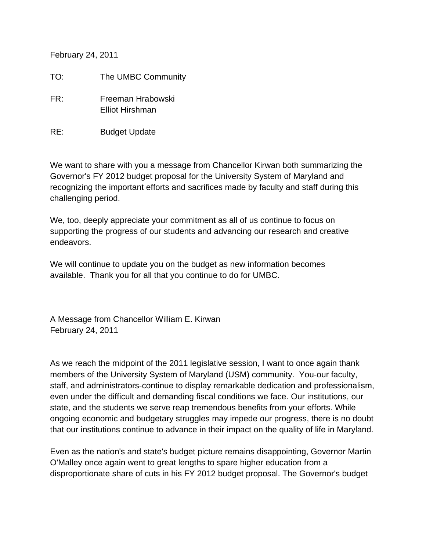February 24, 2011

TO: The UMBC Community

- FR: Freeman Hrabowski Elliot Hirshman
- RE: Budget Update

We want to share with you a message from Chancellor Kirwan both summarizing the Governor's FY 2012 budget proposal for the University System of Maryland and recognizing the important efforts and sacrifices made by faculty and staff during this challenging period.

We, too, deeply appreciate your commitment as all of us continue to focus on supporting the progress of our students and advancing our research and creative endeavors.

We will continue to update you on the budget as new information becomes available. Thank you for all that you continue to do for UMBC.

A Message from Chancellor William E. Kirwan February 24, 2011

As we reach the midpoint of the 2011 legislative session, I want to once again thank members of the University System of Maryland (USM) community. You-our faculty, staff, and administrators-continue to display remarkable dedication and professionalism, even under the difficult and demanding fiscal conditions we face. Our institutions, our state, and the students we serve reap tremendous benefits from your efforts. While ongoing economic and budgetary struggles may impede our progress, there is no doubt that our institutions continue to advance in their impact on the quality of life in Maryland.

Even as the nation's and state's budget picture remains disappointing, Governor Martin O'Malley once again went to great lengths to spare higher education from a disproportionate share of cuts in his FY 2012 budget proposal. The Governor's budget